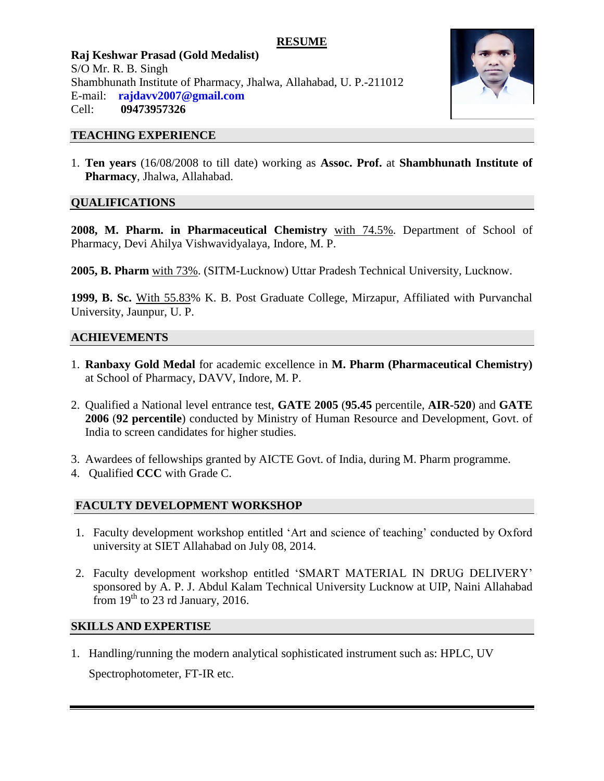# **RESUME**

**Raj Keshwar Prasad (Gold Medalist)** S/O Mr. R. B. Singh Shambhunath Institute of Pharmacy, Jhalwa, Allahabad, U. P.-211012 E-mail: **rajdavv2007@gmail.com** Cell: **09473957326**



#### **TEACHING EXPERIENCE**

1. **Ten years** (16/08/2008 to till date) working as **Assoc. Prof.** at **Shambhunath Institute of Pharmacy**, Jhalwa, Allahabad.

# **QUALIFICATIONS**

**2008, M. Pharm. in Pharmaceutical Chemistry** with 74.5%. Department of School of Pharmacy, Devi Ahilya Vishwavidyalaya, Indore, M. P.

**2005, B. Pharm** with 73%. (SITM-Lucknow) Uttar Pradesh Technical University, Lucknow.

**1999, B. Sc.** With 55.83% K. B. Post Graduate College, Mirzapur, Affiliated with Purvanchal University, Jaunpur, U. P.

### **ACHIEVEMENTS**

- 1. **Ranbaxy Gold Medal** for academic excellence in **M. Pharm (Pharmaceutical Chemistry)** at School of Pharmacy, DAVV, Indore, M. P.
- 2. Qualified a National level entrance test, **GATE 2005** (**95.45** percentile, **AIR-520**) and **GATE 2006** (**92 percentile**) conducted by Ministry of Human Resource and Development, Govt. of India to screen candidates for higher studies.
- 3. Awardees of fellowships granted by AICTE Govt. of India, during M. Pharm programme.
- 4. Qualified **CCC** with Grade C.

# **FACULTY DEVELOPMENT WORKSHOP**

- 1. Faculty development workshop entitled "Art and science of teaching" conducted by Oxford university at SIET Allahabad on July 08, 2014.
- 2. Faculty development workshop entitled "SMART MATERIAL IN DRUG DELIVERY" sponsored by A. P. J. Abdul Kalam Technical University Lucknow at UIP, Naini Allahabad from  $19<sup>th</sup>$  to 23 rd January, 2016.

### **SKILLS AND EXPERTISE**

1. Handling/running the modern analytical sophisticated instrument such as: HPLC, UV Spectrophotometer, FT-IR etc.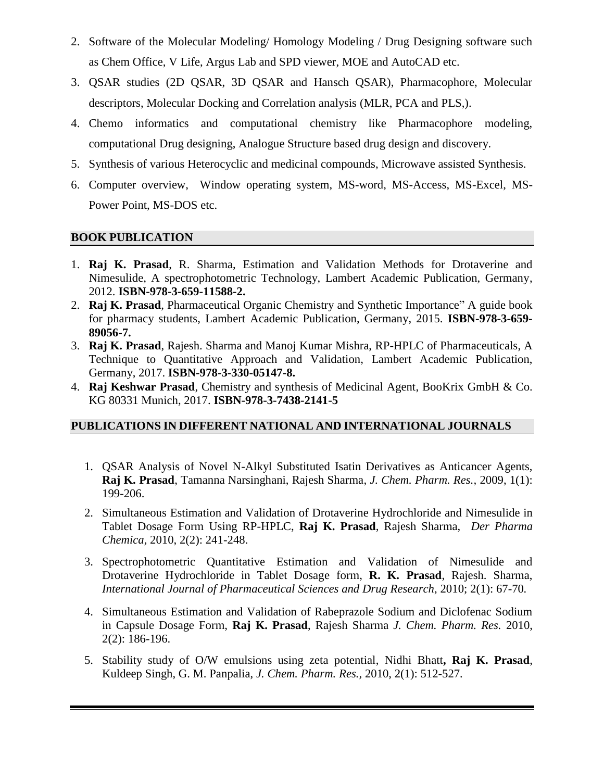- 2. Software of the Molecular Modeling/ Homology Modeling / Drug Designing software such as Chem Office, V Life, Argus Lab and SPD viewer, MOE and AutoCAD etc.
- 3. QSAR studies (2D QSAR, 3D QSAR and Hansch QSAR), Pharmacophore, Molecular descriptors, Molecular Docking and Correlation analysis (MLR, PCA and PLS,).
- 4. Chemo informatics and computational chemistry like Pharmacophore modeling, computational Drug designing, Analogue Structure based drug design and discovery.
- 5. Synthesis of various Heterocyclic and medicinal compounds, Microwave assisted Synthesis.
- 6. Computer overview, Window operating system, MS-word, MS-Access, MS-Excel, MS-Power Point, MS-DOS etc.

# **BOOK PUBLICATION**

- 1. **Raj K. Prasad**, R. Sharma, Estimation and Validation Methods for Drotaverine and Nimesulide, A spectrophotometric Technology, Lambert Academic Publication, Germany, 2012. **ISBN-978-3-659-11588-2.**
- 2. **Raj K. Prasad**, Pharmaceutical Organic Chemistry and Synthetic Importance" A guide book for pharmacy students, Lambert Academic Publication, Germany, 2015. **ISBN-978-3-659- 89056-7.**
- 3. **Raj K. Prasad**, Rajesh. Sharma and Manoj Kumar Mishra, RP-HPLC of Pharmaceuticals, A Technique to Quantitative Approach and Validation, Lambert Academic Publication, Germany, 2017. **ISBN-978-3-330-05147-8.**
- 4. **Raj Keshwar Prasad**, Chemistry and synthesis of Medicinal Agent, BooKrix GmbH & Co. KG 80331 Munich, 2017. **ISBN-978-3-7438-2141-5**

# **PUBLICATIONS IN DIFFERENT NATIONAL AND INTERNATIONAL JOURNALS**

- 1. QSAR Analysis of Novel N-Alkyl Substituted Isatin Derivatives as Anticancer Agents, **Raj K. Prasad**, Tamanna Narsinghani, Rajesh Sharma, *J. Chem. Pharm. Res.,* 2009, 1(1): 199-206.
- 2. Simultaneous Estimation and Validation of Drotaverine Hydrochloride and Nimesulide in Tablet Dosage Form Using RP-HPLC, **Raj K. Prasad**, Rajesh Sharma, *Der Pharma Chemica,* 2010, 2(2): 241-248.
- 3. Spectrophotometric Quantitative Estimation and Validation of Nimesulide and Drotaverine Hydrochloride in Tablet Dosage form, **R. K. Prasad**, Rajesh. Sharma, *International Journal of Pharmaceutical Sciences and Drug Research*, 2010; 2(1): 67-70*.*
- 4. Simultaneous Estimation and Validation of Rabeprazole Sodium and Diclofenac Sodium in Capsule Dosage Form, **Raj K. Prasad**, Rajesh Sharma *J. Chem. Pharm. Res.* 2010, 2(2): 186-196.
- 5. Stability study of O/W emulsions using zeta potential, Nidhi Bhatt**, Raj K. Prasad**, Kuldeep Singh, G. M. Panpalia, *J. Chem. Pharm. Res.,* 2010, 2(1): 512-527*.*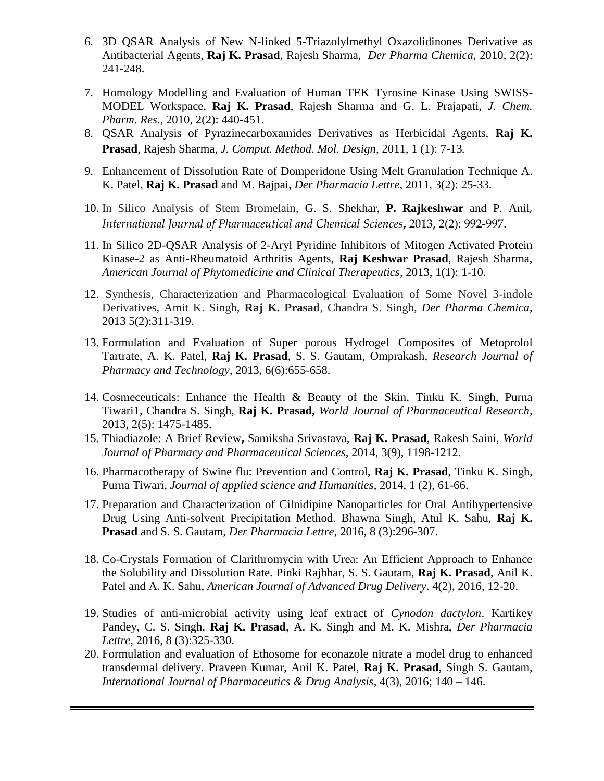- 6. 3D QSAR Analysis of New N-linked 5-Triazolylmethyl Oxazolidinones Derivative as Antibacterial Agents, **Raj K. Prasad**, Rajesh Sharma*, Der Pharma Chemica,* 2010, 2(2): 241-248.
- 7. Homology Modelling and Evaluation of Human TEK Tyrosine Kinase Using SWISS-MODEL Workspace, **Raj K. Prasad**, Rajesh Sharma and G. L. Prajapati, *J. Chem. Pharm. Res*., 2010, 2(2): 440-451.
- 8. QSAR Analysis of Pyrazinecarboxamides Derivatives as Herbicidal Agents, **Raj K. Prasad**, Rajesh Sharma, *J. Comput. Method. Mol. Design*, 2011, 1 (1): 7-13*.*
- 9. Enhancement of Dissolution Rate of Domperidone Using Melt Granulation Technique A. K. Patel, **Raj K. Prasad** and M. Bajpai, *Der Pharmacia Lettre*, 2011, 3(2): 25-33.
- 10. In Silico Analysis of Stem Bromelain, G. S. Shekhar, **P. Rajkeshwar** and P. Anil*, International Journal of Pharmaceutical and Chemical Sciences***,** 2013**,** 2(2): 992-997.
- 11. In Silico 2D-QSAR Analysis of 2-Aryl Pyridine Inhibitors of Mitogen Activated Protein Kinase-2 as Anti-Rheumatoid Arthritis Agents, **Raj Keshwar Prasad**, Rajesh Sharma, *American Journal of Phytomedicine and Clinical Therapeutics*, 2013, 1(1): 1-10.
- 12. Synthesis, Characterization and Pharmacological Evaluation of Some Novel 3-indole Derivatives, Amit K. Singh, **Raj K. Prasad**, Chandra S. Singh, *Der Pharma Chemica*, 2013 5(2):311-319*.*
- 13. Formulation and Evaluation of Super porous Hydrogel Composites of Metoprolol Tartrate, A. K. Patel, **Raj K. Prasad**, S. S. Gautam, Omprakash, *Research Journal of Pharmacy and Technology*, 2013, 6(6):655-658.
- 14. Cosmeceuticals: Enhance the Health & Beauty of the Skin, Tinku K. Singh, Purna Tiwari1, Chandra S. Singh, **Raj K. Prasad,** *World Journal of Pharmaceutical Research,*  2013, 2(5): 1475-1485.
- 15. Thiadiazole: A Brief Review**,** Samiksha Srivastava, **Raj K. Prasad**, Rakesh Saini, *World Journal of Pharmacy and Pharmaceutical Sciences*, 2014, 3(9), 1198-1212.
- 16. Pharmacotherapy of Swine flu: Prevention and Control, **Raj K. Prasad**, Tinku K. Singh, Purna Tiwari, *Journal of applied science and Humanities*, 2014, 1 (2), 61-66.
- 17. Preparation and Characterization of Cilnidipine Nanoparticles for Oral Antihypertensive Drug Using Anti-solvent Precipitation Method. Bhawna Singh, Atul K. Sahu, **Raj K. Prasad** and S. S. Gautam, *Der Pharmacia Lettre*, 2016, 8 (3):296-307.
- 18. Co-Crystals Formation of Clarithromycin with Urea: An Efficient Approach to Enhance the Solubility and Dissolution Rate. Pinki Rajbhar, S. S. Gautam, **Raj K. Prasad**, Anil K. Patel and A. K. Sahu, *American Journal of Advanced Drug Delivery*. 4(2), 2016, 12-20.
- 19. Studies of anti-microbial activity using leaf extract of *Cynodon dactylon*. Kartikey Pandey, C. S. Singh, **Raj K. Prasad**, A. K. Singh and M. K. Mishra, *Der Pharmacia Lettre*, 2016, 8 (3):325-330.
- 20. Formulation and evaluation of Ethosome for econazole nitrate a model drug to enhanced transdermal delivery. Praveen Kumar, Anil K. Patel, **Raj K. Prasad**, Singh S. Gautam, *International Journal of Pharmaceutics & Drug Analysis*, 4(3), 2016; 140 – 146.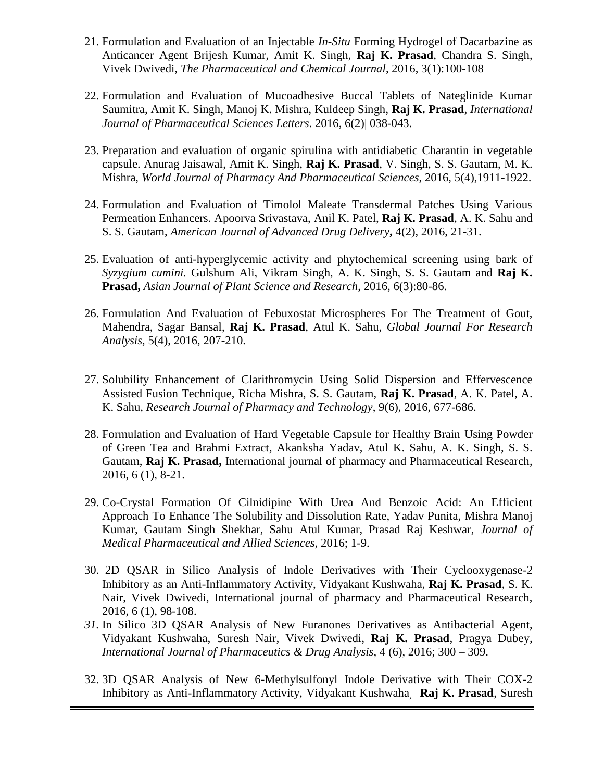- 21. Formulation and Evaluation of an Injectable *In-Situ* Forming Hydrogel of Dacarbazine as Anticancer Agent Brijesh Kumar, Amit K. Singh, **Raj K. Prasad**, Chandra S. Singh, Vivek Dwivedi, *The Pharmaceutical and Chemical Journal*, 2016, 3(1):100-108
- 22. Formulation and Evaluation of Mucoadhesive Buccal Tablets of Nateglinide Kumar Saumitra, Amit K. Singh, Manoj K. Mishra, Kuldeep Singh, **Raj K. Prasad**, *International Journal of Pharmaceutical Sciences Letters*. 2016, 6(2)| 038-043.
- 23. Preparation and evaluation of organic spirulina with antidiabetic Charantin in vegetable capsule. Anurag Jaisawal, Amit K. Singh, **Raj K. Prasad**, V. Singh, S. S. Gautam, M. K. Mishra, *World Journal of Pharmacy And Pharmaceutical Sciences*, 2016, 5(4),1911-1922.
- 24. Formulation and Evaluation of Timolol Maleate Transdermal Patches Using Various Permeation Enhancers. Apoorva Srivastava, Anil K. Patel, **Raj K. Prasad**, A. K. Sahu and S. S. Gautam, *American Journal of Advanced Drug Delivery***,** 4(2), 2016, 21-31.
- 25. Evaluation of anti-hyperglycemic activity and phytochemical screening using bark of *Syzygium cumini.* Gulshum Ali, Vikram Singh, A. K. Singh, S. S. Gautam and **Raj K. Prasad,** *Asian Journal of Plant Science and Research*, 2016, 6(3):80-86.
- 26. Formulation And Evaluation of Febuxostat Microspheres For The Treatment of Gout, Mahendra, Sagar Bansal, **Raj K. Prasad**, Atul K. Sahu, *Global Journal For Research Analysis*, 5(4), 2016, 207-210.
- 27. Solubility Enhancement of Clarithromycin Using Solid Dispersion and Effervescence Assisted Fusion Technique, Richa Mishra, S. S. Gautam, **Raj K. Prasad**, A. K. Patel, A. K. Sahu, *Research Journal of Pharmacy and Technology*, 9(6), 2016, 677-686.
- 28. Formulation and Evaluation of Hard Vegetable Capsule for Healthy Brain Using Powder of Green Tea and Brahmi Extract, Akanksha Yadav, Atul K. Sahu, A. K. Singh, S. S. Gautam, **Raj K. Prasad,** International journal of pharmacy and Pharmaceutical Research, 2016, 6 (1), 8-21.
- 29. Co-Crystal Formation Of Cilnidipine With Urea And Benzoic Acid: An Efficient Approach To Enhance The Solubility and Dissolution Rate, Yadav Punita, Mishra Manoj Kumar, Gautam Singh Shekhar, Sahu Atul Kumar, Prasad Raj Keshwar, *Journal of Medical Pharmaceutical and Allied Sciences*, 2016; 1-9.
- 30. 2D QSAR in Silico Analysis of Indole Derivatives with Their Cyclooxygenase-2 Inhibitory as an Anti-Inflammatory Activity, Vidyakant Kushwaha, **Raj K. Prasad**, S. K. Nair, Vivek Dwivedi, International journal of pharmacy and Pharmaceutical Research, 2016, 6 (1), 98-108.
- *31.* In Silico 3D QSAR Analysis of New Furanones Derivatives as Antibacterial Agent, Vidyakant Kushwaha, Suresh Nair, Vivek Dwivedi, **Raj K. Prasad**, Pragya Dubey, *International Journal of Pharmaceutics & Drug Analysis,* 4 (6), 2016; 300 – 309.
- 32. 3D QSAR Analysis of New 6-Methylsulfonyl Indole Derivative with Their COX-2 Inhibitory as Anti-Inflammatory Activity, Vidyakant Kushwaha, **Raj K. Prasad**, Suresh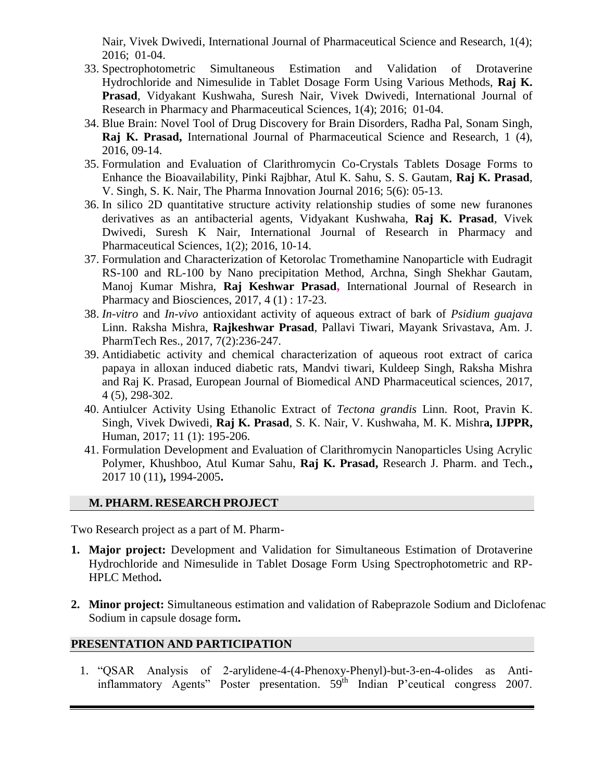Nair, Vivek Dwivedi, International Journal of Pharmaceutical Science and Research, 1(4); 2016; 01-04.

- 33. Spectrophotometric Simultaneous Estimation and Validation of Drotaverine Hydrochloride and Nimesulide in Tablet Dosage Form Using Various Methods, **Raj K. Prasad**, Vidyakant Kushwaha, Suresh Nair, Vivek Dwivedi, International Journal of Research in Pharmacy and Pharmaceutical Sciences, 1(4); 2016; 01-04.
- 34. Blue Brain: Novel Tool of Drug Discovery for Brain Disorders, Radha Pal, Sonam Singh, **Raj K. Prasad,** International Journal of Pharmaceutical Science and Research, 1 (4), 2016, 09-14.
- 35. Formulation and Evaluation of Clarithromycin Co-Crystals Tablets Dosage Forms to Enhance the Bioavailability, Pinki Rajbhar, Atul K. Sahu, S. S. Gautam, **Raj K. Prasad**, V. Singh, S. K. Nair, The Pharma Innovation Journal 2016; 5(6): 05-13.
- 36. In silico 2D quantitative structure activity relationship studies of some new furanones derivatives as an antibacterial agents, Vidyakant Kushwaha, **Raj K. Prasad**, Vivek Dwivedi, Suresh K Nair, International Journal of Research in Pharmacy and Pharmaceutical Sciences, 1(2); 2016, 10-14.
- 37. Formulation and Characterization of Ketorolac Tromethamine Nanoparticle with Eudragit RS-100 and RL-100 by Nano precipitation Method, Archna, Singh Shekhar Gautam, Manoj Kumar Mishra, **Raj Keshwar Prasad,** International Journal of Research in Pharmacy and Biosciences, 2017, 4 (1) : 17-23.
- 38. *In-vitro* and *In-vivo* antioxidant activity of aqueous extract of bark of *Psidium guajava*  Linn. Raksha Mishra, **Rajkeshwar Prasad**, Pallavi Tiwari, Mayank Srivastava, Am. J. PharmTech Res., 2017, 7(2):236-247.
- 39. Antidiabetic activity and chemical characterization of aqueous root extract of carica papaya in alloxan induced diabetic rats, Mandvi tiwari, Kuldeep Singh, Raksha Mishra and Raj K. Prasad, European Journal of Biomedical AND Pharmaceutical sciences, 2017, 4 (5), 298-302.
- 40. Antiulcer Activity Using Ethanolic Extract of *Tectona grandis* Linn. Root, Pravin K. Singh, Vivek Dwivedi, **Raj K. Prasad**, S. K. Nair, V. Kushwaha, M. K. Mishr**a, IJPPR,**  Human, 2017; 11 (1): 195-206.
- 41. Formulation Development and Evaluation of Clarithromycin Nanoparticles Using Acrylic Polymer, Khushboo, Atul Kumar Sahu, **Raj K. Prasad,** Research J. Pharm. and Tech.**,**  2017 10 (11)**,** 1994-2005**.**

# **M. PHARM. RESEARCH PROJECT**

Two Research project as a part of M. Pharm-

- **1. Major project:** Development and Validation for Simultaneous Estimation of Drotaverine Hydrochloride and Nimesulide in Tablet Dosage Form Using Spectrophotometric and RP-HPLC Method**.**
- **2. Minor project:** Simultaneous estimation and validation of Rabeprazole Sodium and Diclofenac Sodium in capsule dosage form**.**

### **PRESENTATION AND PARTICIPATION**

1. "QSAR Analysis of 2-arylidene-4-(4-Phenoxy-Phenyl)-but-3-en-4-olides as Antiinflammatory Agents" Poster presentation. 59<sup>th</sup> Indian P'ceutical congress 2007.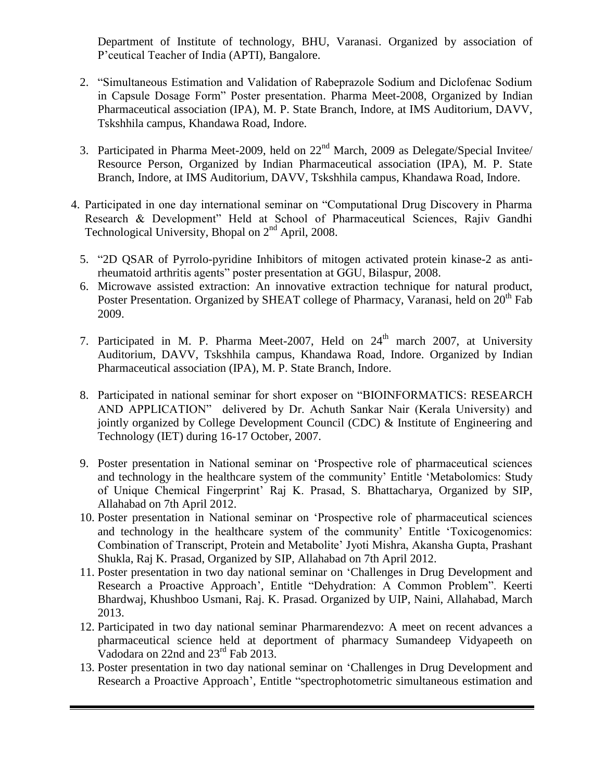Department of Institute of technology, BHU, Varanasi. Organized by association of P'ceutical Teacher of India (APTI), Bangalore.

- 2. "Simultaneous Estimation and Validation of Rabeprazole Sodium and Diclofenac Sodium in Capsule Dosage Form" Poster presentation. Pharma Meet-2008, Organized by Indian Pharmaceutical association (IPA), M. P. State Branch, Indore, at IMS Auditorium, DAVV, Tskshhila campus, Khandawa Road, Indore.
- 3. Participated in Pharma Meet-2009, held on 22<sup>nd</sup> March, 2009 as Delegate/Special Invitee/ Resource Person, Organized by Indian Pharmaceutical association (IPA), M. P. State Branch, Indore, at IMS Auditorium, DAVV, Tskshhila campus, Khandawa Road, Indore.
- 4. Participated in one day international seminar on "Computational Drug Discovery in Pharma Research & Development" Held at School of Pharmaceutical Sciences, Rajiv Gandhi Technological University, Bhopal on  $2<sup>nd</sup>$  April, 2008.
	- 5. "2D QSAR of Pyrrolo-pyridine Inhibitors of mitogen activated protein kinase-2 as antirheumatoid arthritis agents" poster presentation at GGU, Bilaspur, 2008.
	- 6. Microwave assisted extraction: An innovative extraction technique for natural product, Poster Presentation. Organized by SHEAT college of Pharmacy, Varanasi, held on 20<sup>th</sup> Fab 2009.
	- 7. Participated in M. P. Pharma Meet-2007, Held on  $24<sup>th</sup>$  march 2007, at University Auditorium, DAVV, Tskshhila campus, Khandawa Road, Indore. Organized by Indian Pharmaceutical association (IPA), M. P. State Branch, Indore.
	- 8. Participated in national seminar for short exposer on "BIOINFORMATICS: RESEARCH AND APPLICATION" delivered by Dr. Achuth Sankar Nair (Kerala University) and jointly organized by College Development Council (CDC) & Institute of Engineering and Technology (IET) during 16-17 October, 2007.
	- 9. Poster presentation in National seminar on "Prospective role of pharmaceutical sciences and technology in the healthcare system of the community' Entitle 'Metabolomics: Study of Unique Chemical Fingerprint" Raj K. Prasad, S. Bhattacharya, Organized by SIP, Allahabad on 7th April 2012.
	- 10. Poster presentation in National seminar on "Prospective role of pharmaceutical sciences and technology in the healthcare system of the community' Entitle 'Toxicogenomics: Combination of Transcript, Protein and Metabolite" Jyoti Mishra, Akansha Gupta, Prashant Shukla, Raj K. Prasad, Organized by SIP, Allahabad on 7th April 2012.
	- 11. Poster presentation in two day national seminar on "Challenges in Drug Development and Research a Proactive Approach", Entitle "Dehydration: A Common Problem". Keerti Bhardwaj, Khushboo Usmani, Raj. K. Prasad. Organized by UIP, Naini, Allahabad, March 2013.
	- 12. Participated in two day national seminar Pharmarendezvo: A meet on recent advances a pharmaceutical science held at deportment of pharmacy Sumandeep Vidyapeeth on Vadodara on 22nd and 23<sup>rd</sup> Fab 2013.
	- 13. Poster presentation in two day national seminar on "Challenges in Drug Development and Research a Proactive Approach", Entitle "spectrophotometric simultaneous estimation and